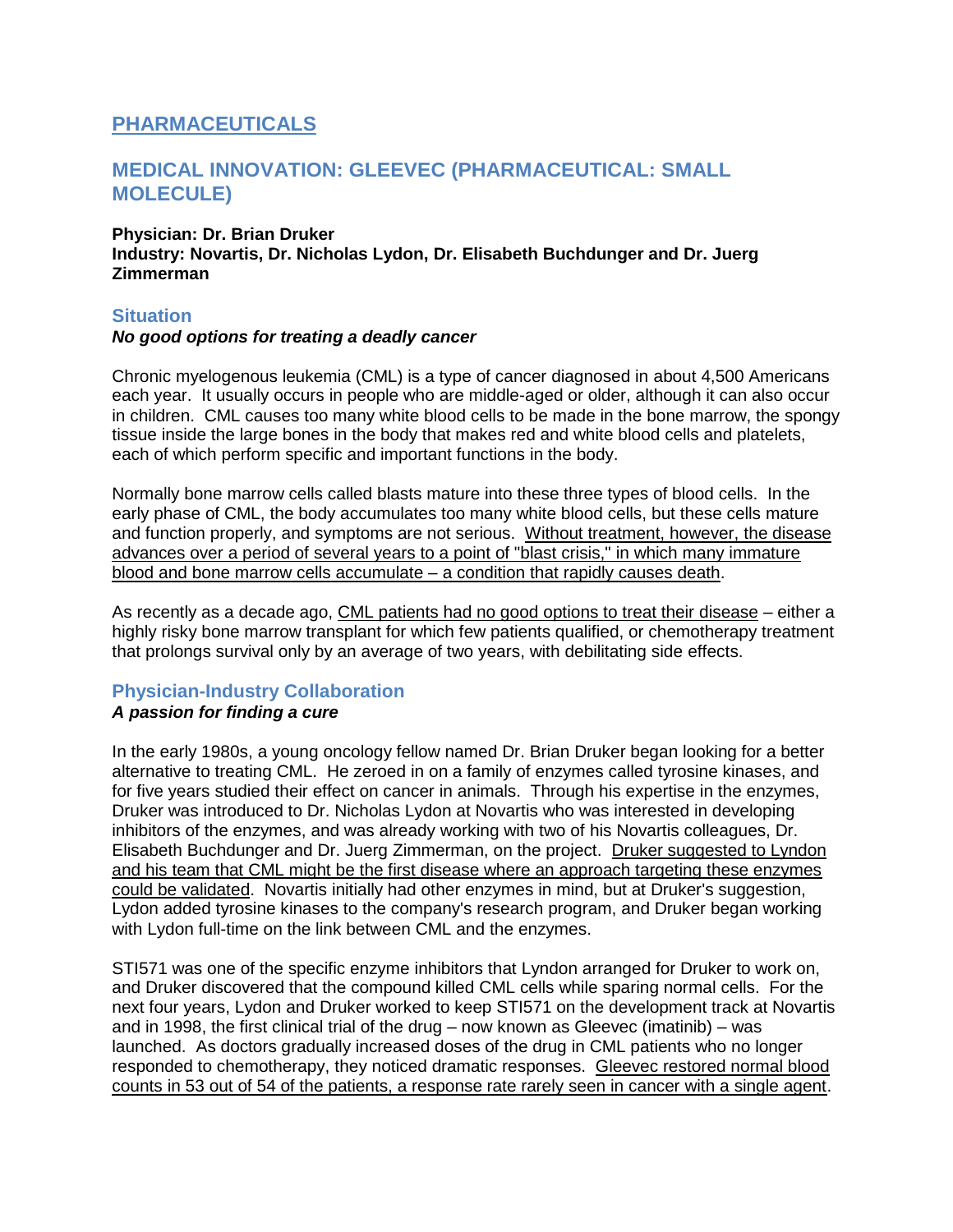# **PHARMACEUTICALS**

## **MEDICAL INNOVATION: GLEEVEC (PHARMACEUTICAL: SMALL MOLECULE)**

### **Physician: Dr. Brian Druker Industry: Novartis, Dr. Nicholas Lydon, Dr. Elisabeth Buchdunger and Dr. Juerg Zimmerman**

### **Situation**

### *No good options for treating a deadly cancer*

Chronic myelogenous leukemia (CML) is a type of cancer diagnosed in about 4,500 Americans each year. It usually occurs in people who are middle-aged or older, although it can also occur in children. CML causes too many white blood cells to be made in the bone marrow, the spongy tissue inside the large bones in the body that makes red and white blood cells and platelets, each of which perform specific and important functions in the body.

Normally bone marrow cells called blasts mature into these three types of blood cells. In the early phase of CML, the body accumulates too many white blood cells, but these cells mature and function properly, and symptoms are not serious. Without treatment, however, the disease advances over a period of several years to a point of "blast crisis," in which many immature blood and bone marrow cells accumulate – a condition that rapidly causes death.

As recently as a decade ago, CML patients had no good options to treat their disease – either a highly risky bone marrow transplant for which few patients qualified, or chemotherapy treatment that prolongs survival only by an average of two years, with debilitating side effects.

## **Physician-Industry Collaboration**

### *A passion for finding a cure*

In the early 1980s, a young oncology fellow named Dr. Brian Druker began looking for a better alternative to treating CML. He zeroed in on a family of enzymes called tyrosine kinases, and for five years studied their effect on cancer in animals. Through his expertise in the enzymes, Druker was introduced to Dr. Nicholas Lydon at Novartis who was interested in developing inhibitors of the enzymes, and was already working with two of his Novartis colleagues, Dr. Elisabeth Buchdunger and Dr. Juerg Zimmerman, on the project. Druker suggested to Lyndon and his team that CML might be the first disease where an approach targeting these enzymes could be validated. Novartis initially had other enzymes in mind, but at Druker's suggestion, Lydon added tyrosine kinases to the company's research program, and Druker began working with Lydon full-time on the link between CML and the enzymes.

STI571 was one of the specific enzyme inhibitors that Lyndon arranged for Druker to work on, and Druker discovered that the compound killed CML cells while sparing normal cells. For the next four years, Lydon and Druker worked to keep STI571 on the development track at Novartis and in 1998, the first clinical trial of the drug – now known as Gleevec (imatinib) – was launched. As doctors gradually increased doses of the drug in CML patients who no longer responded to chemotherapy, they noticed dramatic responses. Gleevec restored normal blood counts in 53 out of 54 of the patients, a response rate rarely seen in cancer with a single agent.